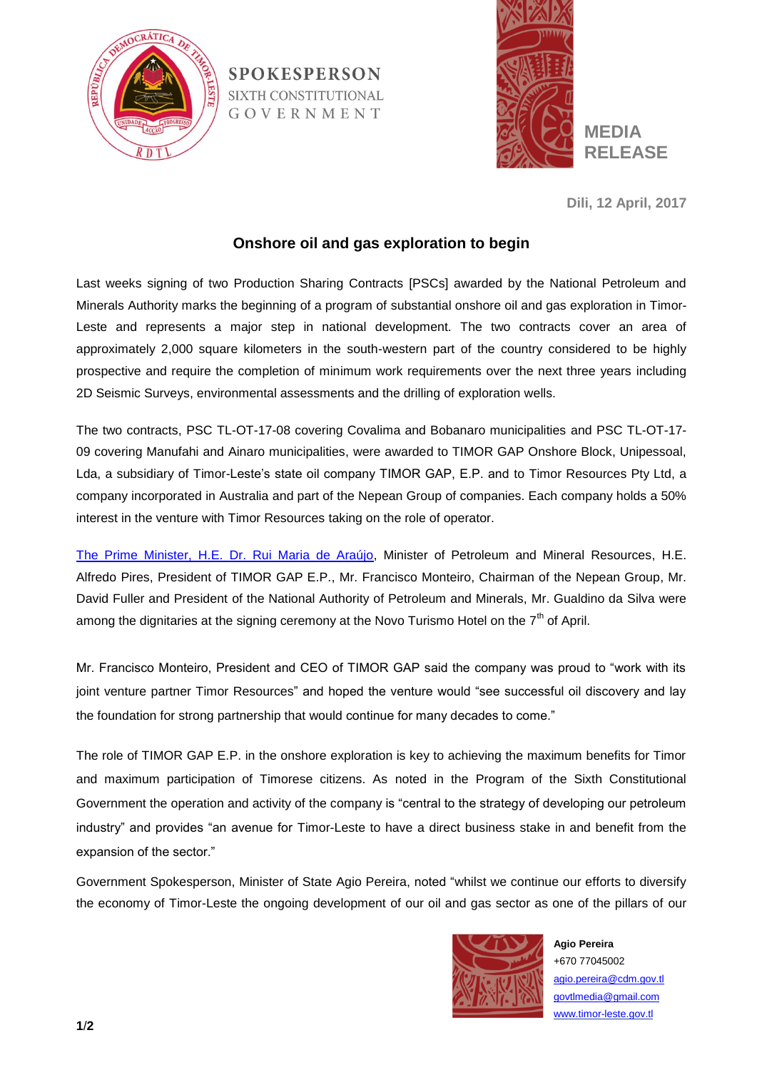

**SPOKESPERSON** SIXTH CONSTITUTIONAL GOVERNMENT



**Dili, 12 April, 2017**

## **Onshore oil and gas exploration to begin**

Last weeks signing of two Production Sharing Contracts [PSCs] awarded by the National Petroleum and Minerals Authority marks the beginning of a program of substantial onshore oil and gas exploration in Timor-Leste and represents a major step in national development. The two contracts cover an area of approximately 2,000 square kilometers in the south-western part of the country considered to be highly prospective and require the completion of minimum work requirements over the next three years including 2D Seismic Surveys, environmental assessments and the drilling of exploration wells.

The two contracts, PSC TL-OT-17-08 covering Covalima and Bobanaro municipalities and PSC TL-OT-17- 09 covering Manufahi and Ainaro municipalities, were awarded to TIMOR GAP Onshore Block, Unipessoal, Lda, a subsidiary of Timor-Leste's state oil company TIMOR GAP, E.P. and to Timor Resources Pty Ltd, a company incorporated in Australia and part of the Nepean Group of companies. Each company holds a 50% interest in the venture with Timor Resources taking on the role of operator.

[The Prime Minister, H.E. Dr. Rui Maria de Araújo,](http://timor-leste.gov.tl/?vl=0&lang=en) Minister of Petroleum and Mineral Resources, H.E. Alfredo Pires, President of TIMOR GAP E.P., Mr. Francisco Monteiro, Chairman of the Nepean Group, Mr. David Fuller and President of the National Authority of Petroleum and Minerals, Mr. Gualdino da Silva were among the dignitaries at the signing ceremony at the Novo Turismo Hotel on the  $7<sup>th</sup>$  of April.

Mr. Francisco Monteiro, President and CEO of TIMOR GAP said the company was proud to "work with its joint venture partner Timor Resources" and hoped the venture would "see successful oil discovery and lay the foundation for strong partnership that would continue for many decades to come."

The role of TIMOR GAP E.P. in the onshore exploration is key to achieving the maximum benefits for Timor and maximum participation of Timorese citizens. As noted in the Program of the Sixth Constitutional Government the operation and activity of the company is "central to the strategy of developing our petroleum industry" and provides "an avenue for Timor-Leste to have a direct business stake in and benefit from the expansion of the sector."

Government Spokesperson, Minister of State Agio Pereira, noted "whilst we continue our efforts to diversify the economy of Timor-Leste the ongoing development of our oil and gas sector as one of the pillars of our



**Agio Pereira** +670 77045002 agio.pereira@cdm.gov.tl govtlmedia@gmail.com www.timor-leste.gov.tl